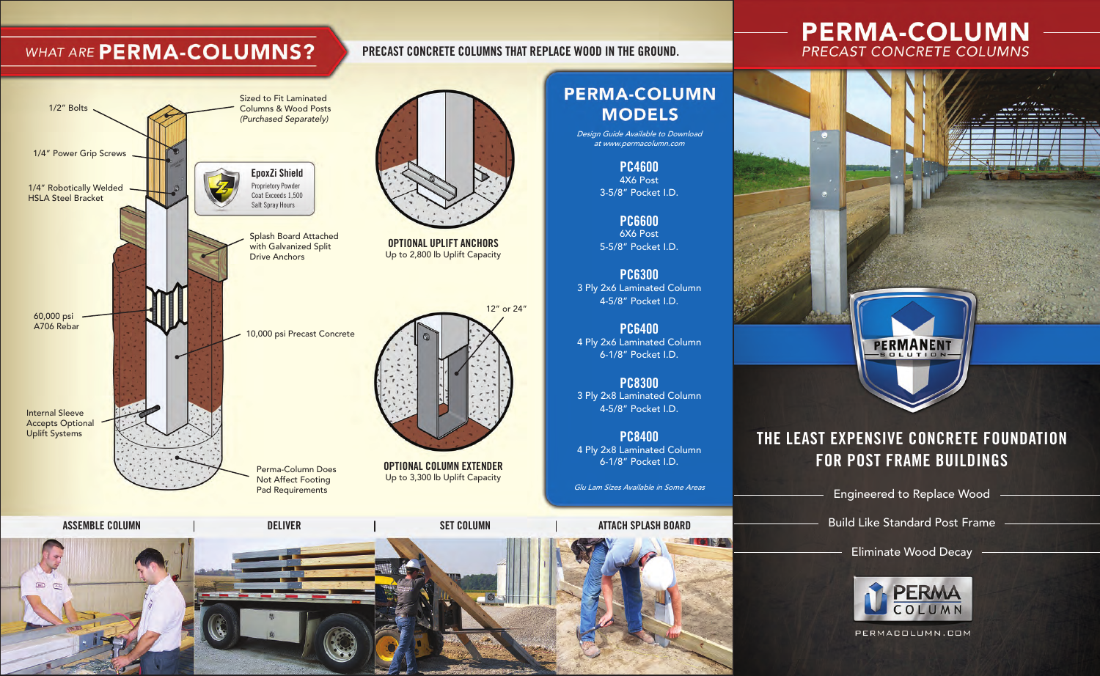## WHAT ARE PERMA-COLUMNS?

#### **EpoxZi Shield** Proprietory Powder Coat Exceeds 1,500 Salt Spray Hours **OPTIONAL UPLIFT ANCHORS** Up to 2,800 lb Uplift Capacity 10,000 psi Precast Concrete 60,000 psi A706 Rebar 1/2" Bolts Internal Sleeve Accepts Optional Uplift Systems Sized to Fit Laminated Columns & Wood Posts (Purchased Separately) Splash Board Attached with Galvanized Split Drive Anchors 1/4" Robotically Welded HSLA Steel Bracket 1/4" Power Grip Screws

Perma-Column Does Not Affect Footing Pad Requirements



**PRECAST CONCRETE COLUMNS THAT REPLACE WOOD IN THE GROUND.**

12" or 24"

Design Guide Available to Download at www.permacolumn.com

> **PC4600** 4X6 Post 3-5/8" Pocket I.D.

**PC6600** 6X6 Post 5-5/8" Pocket I.D.

**PC6300** 3 Ply 2x6 Laminated Column 4-5/8" Pocket I.D.

**PC6400** 4 Ply 2x6 Laminated Column 6-1/8" Pocket I.D.

**PC8300** 3 Ply 2x8 Laminated Column 4-5/8" Pocket I.D.

**PC8400** 4 Ply 2x8 Laminated Column 6-1/8" Pocket I.D.

Glu Lam Sizes Available in Some Areas

**ASSEMBLE COLUMN DELIVER SET COLUMN ATTACH SPLASH BOARD**

**OPTIONAL COLUMN EXTENDER** Up to 3,300 lb Uplift Capacity

# **PERMA-COLUMN PRECAST CONCRETE COLUMNS**



#### **THE LEAST EXPENSIVE CONCRETE FOUNDATION FOR POST FRAME BUILDINGS**

Engineered to Replace Wood

Build Like Standard Post Frame

Eliminate Wood Decay



PERMACOLUMN.COM